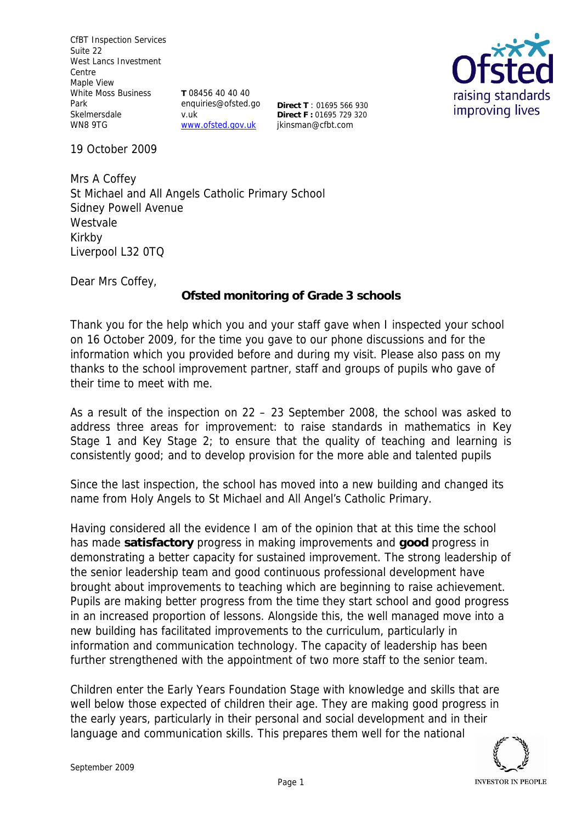CfBT Inspection Services Suite 22 West Lancs Investment Centre Maple View White Moss Business Park **Skelmersdale** WN8 9TG

**T** 08456 40 40 40 enquiries@ofsted.go v.uk www.ofsted.gov.uk

**Direct T** : 01695 566 930 **Direct F :** 01695 729 320 jkinsman@cfbt.com



19 October 2009

Mrs A Coffey St Michael and All Angels Catholic Primary School Sidney Powell Avenue Westvale Kirkby Liverpool L32 0TQ

Dear Mrs Coffey,

**Ofsted monitoring of Grade 3 schools**

Thank you for the help which you and your staff gave when I inspected your school on 16 October 2009, for the time you gave to our phone discussions and for the information which you provided before and during my visit. Please also pass on my thanks to the school improvement partner, staff and groups of pupils who gave of their time to meet with me.

As a result of the inspection on 22 – 23 September 2008, the school was asked to address three areas for improvement: to raise standards in mathematics in Key Stage 1 and Key Stage 2; to ensure that the quality of teaching and learning is consistently good; and to develop provision for the more able and talented pupils

Since the last inspection, the school has moved into a new building and changed its name from Holy Angels to St Michael and All Angel's Catholic Primary.

Having considered all the evidence I am of the opinion that at this time the school has made **satisfactory** progress in making improvements and **good** progress in demonstrating a better capacity for sustained improvement. The strong leadership of the senior leadership team and good continuous professional development have brought about improvements to teaching which are beginning to raise achievement. Pupils are making better progress from the time they start school and good progress in an increased proportion of lessons. Alongside this, the well managed move into a new building has facilitated improvements to the curriculum, particularly in information and communication technology. The capacity of leadership has been further strengthened with the appointment of two more staff to the senior team.

Children enter the Early Years Foundation Stage with knowledge and skills that are well below those expected of children their age. They are making good progress in the early years, particularly in their personal and social development and in their language and communication skills. This prepares them well for the national